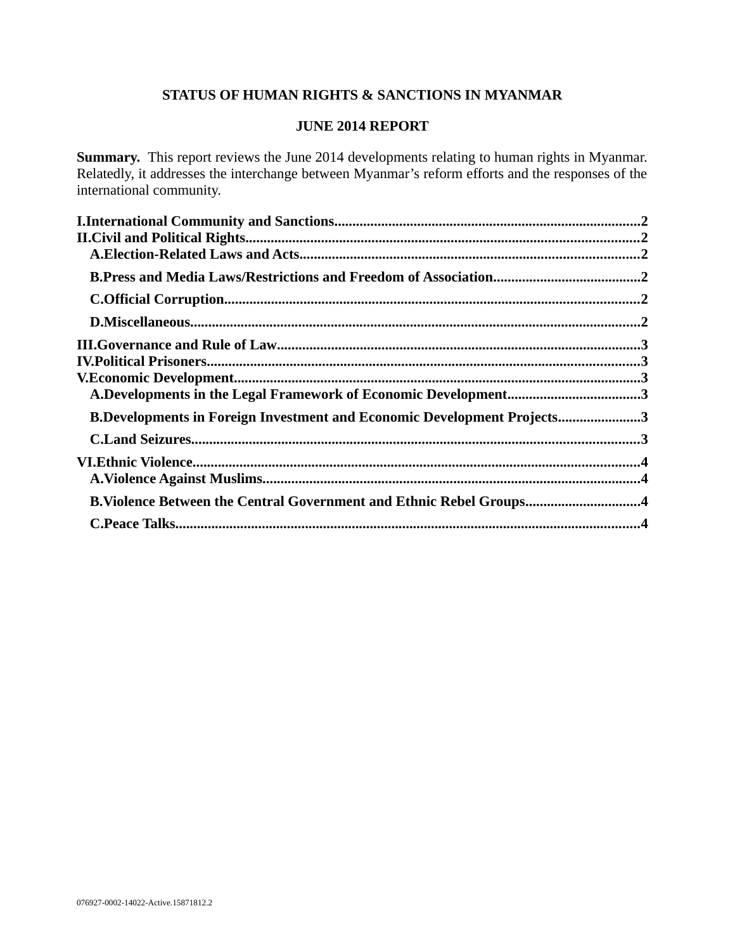# **STATUS OF HUMAN RIGHTS & SANCTIONS IN MYANMAR**

## **JUNE 2014 REPORT**

**Summary.** This report reviews the June 2014 developments relating to human rights in Myanmar. Relatedly, it addresses the interchange between Myanmar's reform efforts and the responses of the international community.

| A.Developments in the Legal Framework of Economic Development3                 |  |
|--------------------------------------------------------------------------------|--|
| <b>B.Developments in Foreign Investment and Economic Development Projects3</b> |  |
|                                                                                |  |
|                                                                                |  |
|                                                                                |  |
| B. Violence Between the Central Government and Ethnic Rebel Groups4            |  |
|                                                                                |  |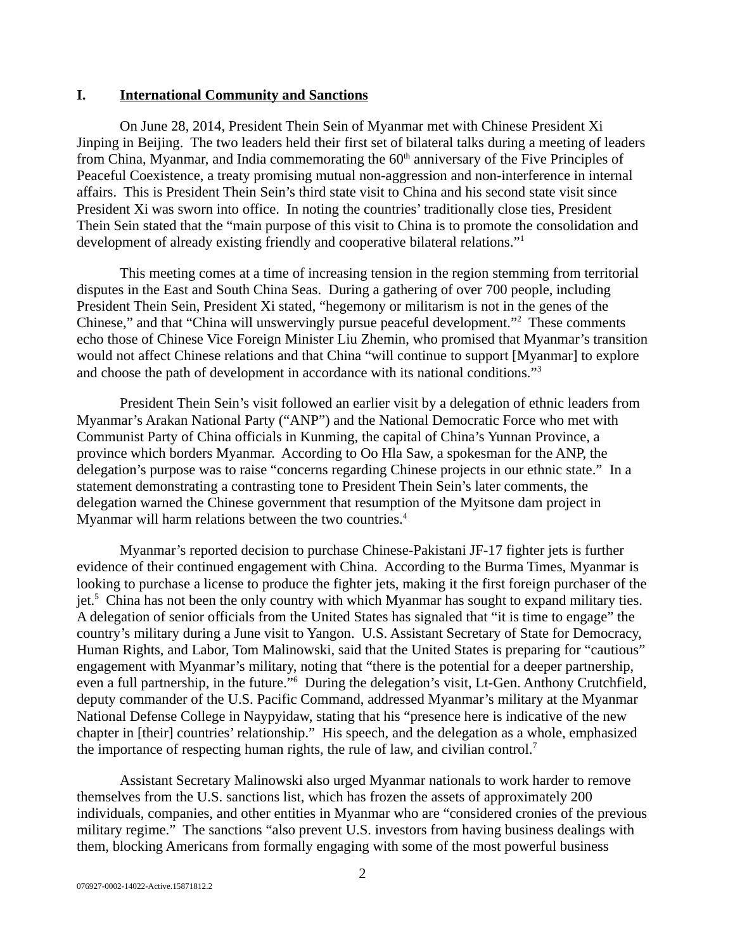#### <span id="page-1-0"></span>**I. International Community and Sanctions**

On June 28, 2014, President Thein Sein of Myanmar met with Chinese President Xi Jinping in Beijing. The two leaders held their first set of bilateral talks during a meeting of leaders from China, Myanmar, and India commemorating the  $60<sup>th</sup>$  anniversary of the Five Principles of Peaceful Coexistence, a treaty promising mutual non-aggression and non-interference in internal affairs. This is President Thein Sein's third state visit to China and his second state visit since President Xi was sworn into office. In noting the countries' traditionally close ties, President Thein Sein stated that the "main purpose of this visit to China is to promote the consolidation and development of already existing friendly and cooperative bilateral relations."<sup>1</sup>

This meeting comes at a time of increasing tension in the region stemming from territorial disputes in the East and South China Seas. During a gathering of over 700 people, including President Thein Sein, President Xi stated, "hegemony or militarism is not in the genes of the Chinese," and that "China will unswervingly pursue peaceful development."<sup>2</sup> These comments echo those of Chinese Vice Foreign Minister Liu Zhemin, who promised that Myanmar's transition would not affect Chinese relations and that China "will continue to support [Myanmar] to explore and choose the path of development in accordance with its national conditions."<sup>3</sup>

President Thein Sein's visit followed an earlier visit by a delegation of ethnic leaders from Myanmar's Arakan National Party ("ANP") and the National Democratic Force who met with Communist Party of China officials in Kunming, the capital of China's Yunnan Province, a province which borders Myanmar. According to Oo Hla Saw, a spokesman for the ANP, the delegation's purpose was to raise "concerns regarding Chinese projects in our ethnic state." In a statement demonstrating a contrasting tone to President Thein Sein's later comments, the delegation warned the Chinese government that resumption of the Myitsone dam project in Myanmar will harm relations between the two countries.<sup>4</sup>

Myanmar's reported decision to purchase Chinese-Pakistani JF-17 fighter jets is further evidence of their continued engagement with China. According to the Burma Times, Myanmar is looking to purchase a license to produce the fighter jets, making it the first foreign purchaser of the jet.<sup>5</sup> China has not been the only country with which Myanmar has sought to expand military ties. A delegation of senior officials from the United States has signaled that "it is time to engage" the country's military during a June visit to Yangon. U.S. Assistant Secretary of State for Democracy, Human Rights, and Labor, Tom Malinowski, said that the United States is preparing for "cautious" engagement with Myanmar's military, noting that "there is the potential for a deeper partnership, even a full partnership, in the future."<sup>6</sup> During the delegation's visit, Lt-Gen. Anthony Crutchfield, deputy commander of the U.S. Pacific Command, addressed Myanmar's military at the Myanmar National Defense College in Naypyidaw, stating that his "presence here is indicative of the new chapter in [their] countries' relationship." His speech, and the delegation as a whole, emphasized the importance of respecting human rights, the rule of law, and civilian control.<sup>7</sup>

Assistant Secretary Malinowski also urged Myanmar nationals to work harder to remove themselves from the U.S. sanctions list, which has frozen the assets of approximately 200 individuals, companies, and other entities in Myanmar who are "considered cronies of the previous military regime." The sanctions "also prevent U.S. investors from having business dealings with them, blocking Americans from formally engaging with some of the most powerful business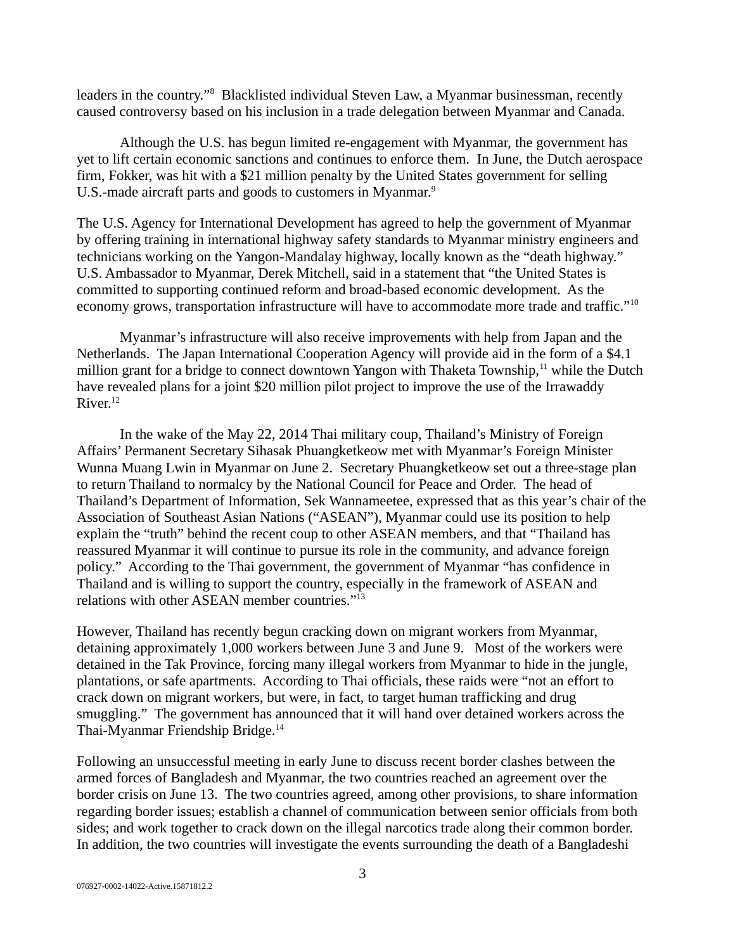leaders in the country."<sup>8</sup> Blacklisted individual Steven Law, a Myanmar businessman, recently caused controversy based on his inclusion in a trade delegation between Myanmar and Canada.

Although the U.S. has begun limited re-engagement with Myanmar, the government has yet to lift certain economic sanctions and continues to enforce them. In June, the Dutch aerospace firm, Fokker, was hit with a \$21 million penalty by the United States government for selling U.S.-made aircraft parts and goods to customers in Myanmar.<sup>9</sup>

The U.S. Agency for International Development has agreed to help the government of Myanmar by offering training in international highway safety standards to Myanmar ministry engineers and technicians working on the Yangon-Mandalay highway, locally known as the "death highway." U.S. Ambassador to Myanmar, Derek Mitchell, said in a statement that "the United States is committed to supporting continued reform and broad-based economic development. As the economy grows, transportation infrastructure will have to accommodate more trade and traffic." $^{10}$ 

Myanmar's infrastructure will also receive improvements with help from Japan and the Netherlands. The Japan International Cooperation Agency will provide aid in the form of a \$4.1 million grant for a bridge to connect downtown Yangon with Thaketa Township,<sup>11</sup> while the Dutch have revealed plans for a joint \$20 million pilot project to improve the use of the Irrawaddy  $River.<sup>12</sup>$ 

In the wake of the May 22, 2014 Thai military coup, Thailand's Ministry of Foreign Affairs' Permanent Secretary Sihasak Phuangketkeow met with Myanmar's Foreign Minister Wunna Muang Lwin in Myanmar on June 2. Secretary Phuangketkeow set out a three-stage plan to return Thailand to normalcy by the National Council for Peace and Order. The head of Thailand's Department of Information, Sek Wannameetee, expressed that as this year's chair of the Association of Southeast Asian Nations ("ASEAN"), Myanmar could use its position to help explain the "truth" behind the recent coup to other ASEAN members, and that "Thailand has reassured Myanmar it will continue to pursue its role in the community, and advance foreign policy." According to the Thai government, the government of Myanmar "has confidence in Thailand and is willing to support the country, especially in the framework of ASEAN and relations with other ASEAN member countries."<sup>13</sup>

However, Thailand has recently begun cracking down on migrant workers from Myanmar, detaining approximately 1,000 workers between June 3 and June 9. Most of the workers were detained in the Tak Province, forcing many illegal workers from Myanmar to hide in the jungle, plantations, or safe apartments. According to Thai officials, these raids were "not an effort to crack down on migrant workers, but were, in fact, to target human trafficking and drug smuggling." The government has announced that it will hand over detained workers across the Thai-Myanmar Friendship Bridge.<sup>14</sup>

Following an unsuccessful meeting in early June to discuss recent border clashes between the armed forces of Bangladesh and Myanmar, the two countries reached an agreement over the border crisis on June 13. The two countries agreed, among other provisions, to share information regarding border issues; establish a channel of communication between senior officials from both sides; and work together to crack down on the illegal narcotics trade along their common border. In addition, the two countries will investigate the events surrounding the death of a Bangladeshi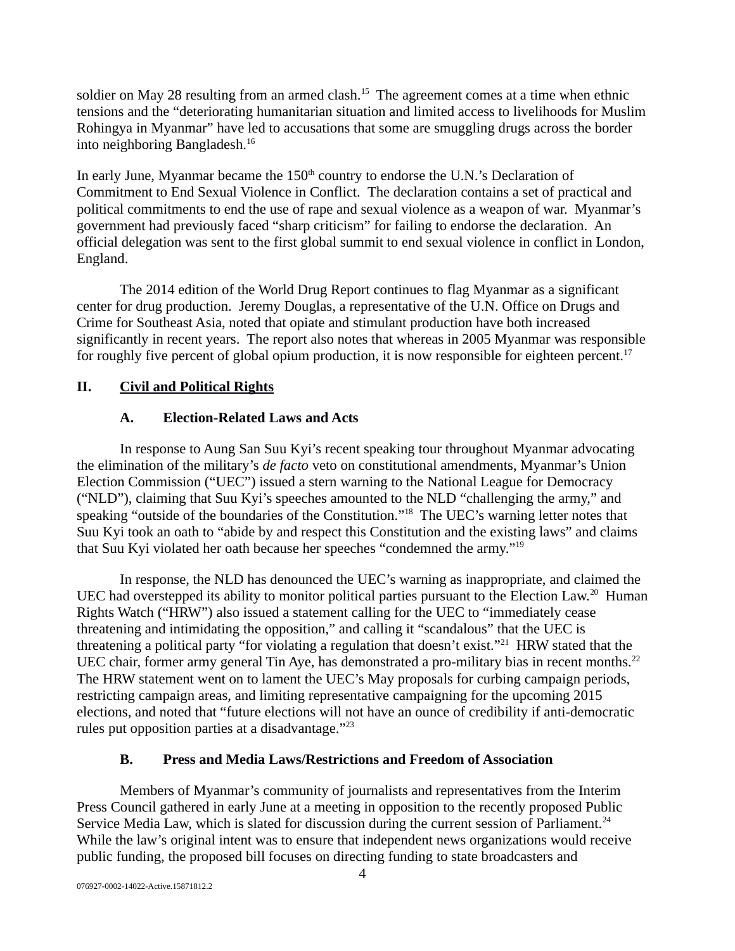soldier on May 28 resulting from an armed clash.<sup>15</sup> The agreement comes at a time when ethnic tensions and the "deteriorating humanitarian situation and limited access to livelihoods for Muslim Rohingya in Myanmar" have led to accusations that some are smuggling drugs across the border into neighboring Bangladesh.<sup>16</sup>

In early June, Myanmar became the  $150<sup>th</sup>$  country to endorse the U.N.'s Declaration of Commitment to End Sexual Violence in Conflict. The declaration contains a set of practical and political commitments to end the use of rape and sexual violence as a weapon of war. Myanmar's government had previously faced "sharp criticism" for failing to endorse the declaration. An official delegation was sent to the first global summit to end sexual violence in conflict in London, England.

The 2014 edition of the World Drug Report continues to flag Myanmar as a significant center for drug production. Jeremy Douglas, a representative of the U.N. Office on Drugs and Crime for Southeast Asia, noted that opiate and stimulant production have both increased significantly in recent years. The report also notes that whereas in 2005 Myanmar was responsible for roughly five percent of global opium production, it is now responsible for eighteen percent.<sup>17</sup>

## **II. Civil and Political Rights**

## <span id="page-3-2"></span><span id="page-3-1"></span>**A. Election-Related Laws and Acts**

In response to Aung San Suu Kyi's recent speaking tour throughout Myanmar advocating the elimination of the military's *de facto* veto on constitutional amendments, Myanmar's Union Election Commission ("UEC") issued a stern warning to the National League for Democracy ("NLD"), claiming that Suu Kyi's speeches amounted to the NLD "challenging the army," and speaking "outside of the boundaries of the Constitution."<sup>18</sup> The UEC's warning letter notes that Suu Kyi took an oath to "abide by and respect this Constitution and the existing laws" and claims that Suu Kyi violated her oath because her speeches "condemned the army."<sup>19</sup>

In response, the NLD has denounced the UEC's warning as inappropriate, and claimed the UEC had overstepped its ability to monitor political parties pursuant to the Election Law.<sup>20</sup> Human Rights Watch ("HRW") also issued a statement calling for the UEC to "immediately cease threatening and intimidating the opposition," and calling it "scandalous" that the UEC is threatening a political party "for violating a regulation that doesn't exist."<sup>21</sup> HRW stated that the UEC chair, former army general Tin Aye, has demonstrated a pro-military bias in recent months.<sup>22</sup> The HRW statement went on to lament the UEC's May proposals for curbing campaign periods, restricting campaign areas, and limiting representative campaigning for the upcoming 2015 elections, and noted that "future elections will not have an ounce of credibility if anti-democratic rules put opposition parties at a disadvantage."<sup>23</sup>

## <span id="page-3-0"></span>**B. Press and Media Laws/Restrictions and Freedom of Association**

Members of Myanmar's community of journalists and representatives from the Interim Press Council gathered in early June at a meeting in opposition to the recently proposed Public Service Media Law, which is slated for discussion during the current session of Parliament.<sup>24</sup> While the law's original intent was to ensure that independent news organizations would receive public funding, the proposed bill focuses on directing funding to state broadcasters and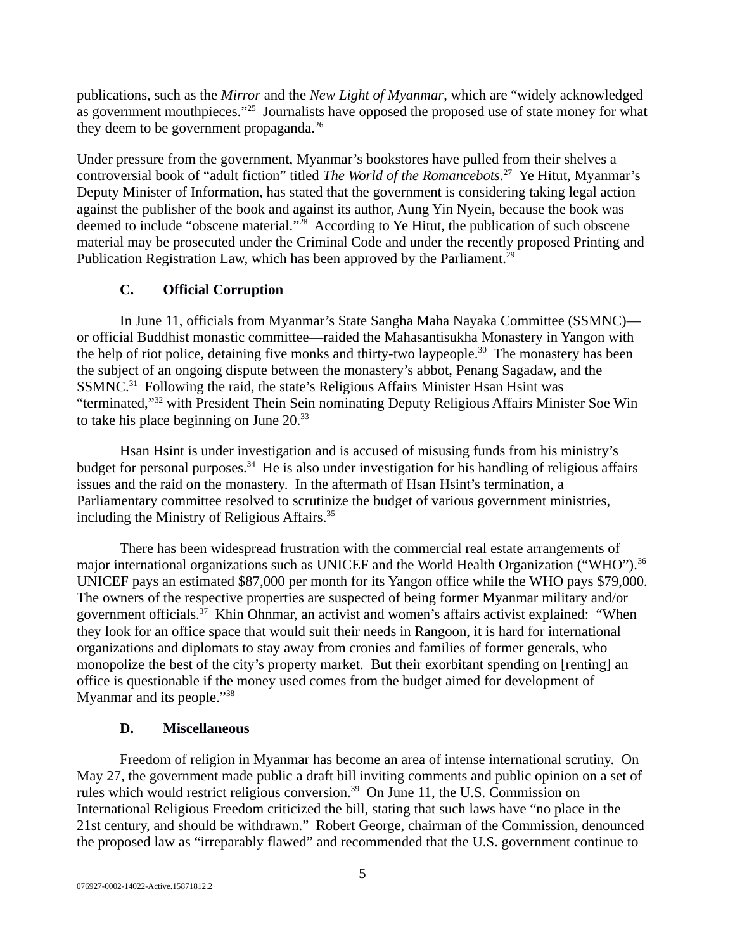publications, such as the *Mirror* and the *New Light of Myanmar*, which are "widely acknowledged as government mouthpieces."<sup>25</sup> Journalists have opposed the proposed use of state money for what they deem to be government propaganda.<sup>26</sup>

Under pressure from the government, Myanmar's bookstores have pulled from their shelves a controversial book of "adult fiction" titled *The World of the Romancebots*. <sup>27</sup> Ye Hitut, Myanmar's Deputy Minister of Information, has stated that the government is considering taking legal action against the publisher of the book and against its author, Aung Yin Nyein, because the book was deemed to include "obscene material."<sup>28</sup> According to Ye Hitut, the publication of such obscene material may be prosecuted under the Criminal Code and under the recently proposed Printing and Publication Registration Law, which has been approved by the Parliament.<sup>29</sup>

## <span id="page-4-1"></span>**C. Official Corruption**

In June 11, officials from Myanmar's State Sangha Maha Nayaka Committee (SSMNC) or official Buddhist monastic committee—raided the Mahasantisukha Monastery in Yangon with the help of riot police, detaining five monks and thirty-two laypeople.<sup>30</sup> The monastery has been the subject of an ongoing dispute between the monastery's abbot, Penang Sagadaw, and the SSMNC.<sup>31</sup> Following the raid, the state's Religious Affairs Minister Hsan Hsint was "terminated,"<sup>32</sup> with President Thein Sein nominating Deputy Religious Affairs Minister Soe Win to take his place beginning on June 20.<sup>33</sup>

Hsan Hsint is under investigation and is accused of misusing funds from his ministry's budget for personal purposes.<sup>34</sup> He is also under investigation for his handling of religious affairs issues and the raid on the monastery. In the aftermath of Hsan Hsint's termination, a Parliamentary committee resolved to scrutinize the budget of various government ministries, including the Ministry of Religious Affairs.<sup>35</sup>

There has been widespread frustration with the commercial real estate arrangements of major international organizations such as UNICEF and the World Health Organization ("WHO").<sup>36</sup> UNICEF pays an estimated \$87,000 per month for its Yangon office while the WHO pays \$79,000. The owners of the respective properties are suspected of being former Myanmar military and/or government officials.<sup>37</sup> Khin Ohnmar, an activist and women's affairs activist explained: "When they look for an office space that would suit their needs in Rangoon, it is hard for international organizations and diplomats to stay away from cronies and families of former generals, who monopolize the best of the city's property market. But their exorbitant spending on [renting] an office is questionable if the money used comes from the budget aimed for development of Myanmar and its people."<sup>38</sup>

## <span id="page-4-0"></span>**D. Miscellaneous**

Freedom of religion in Myanmar has become an area of intense international scrutiny. On May 27, the government made public a draft bill inviting comments and public opinion on a set of rules which would restrict religious conversion.<sup>39</sup> On June 11, the U.S. Commission on International Religious Freedom criticized the bill, stating that such laws have "no place in the 21st century, and should be withdrawn." Robert George, chairman of the Commission, denounced the proposed law as "irreparably flawed" and recommended that the U.S. government continue to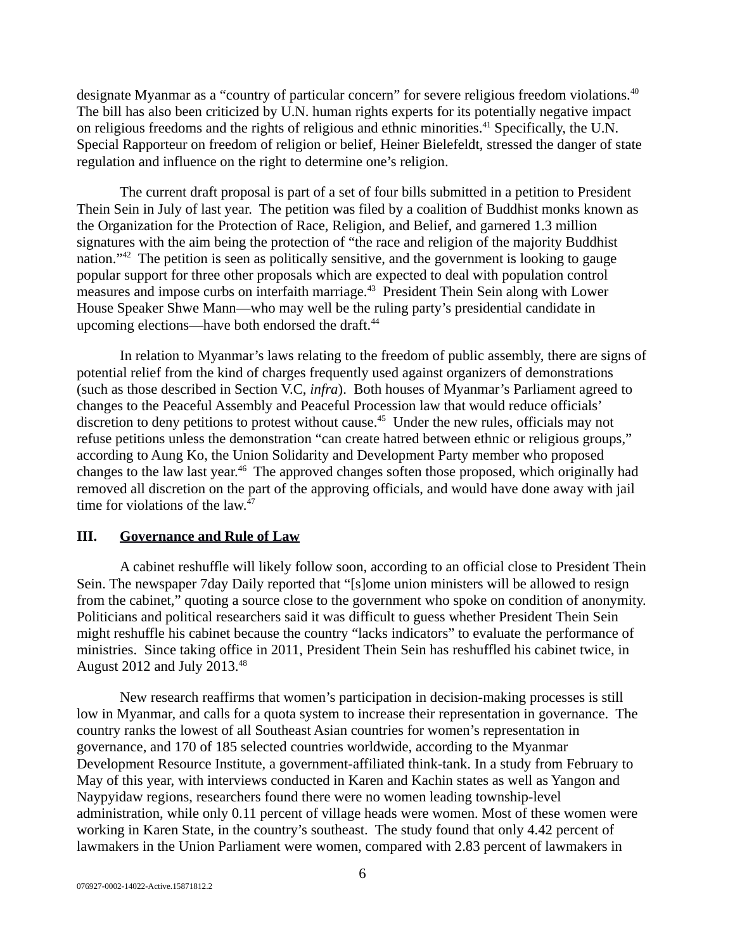designate Myanmar as a "country of particular concern" for severe religious freedom violations.<sup>40</sup> The bill has also been criticized by U.N. human rights experts for its potentially negative impact on religious freedoms and the rights of religious and ethnic minorities.<sup>41</sup> Specifically, the U.N. Special Rapporteur on freedom of religion or belief, Heiner Bielefeldt, stressed the danger of state regulation and influence on the right to determine one's religion.

The current draft proposal is part of a set of four bills submitted in a petition to President Thein Sein in July of last year. The petition was filed by a coalition of Buddhist monks known as the Organization for the Protection of Race, Religion, and Belief, and garnered 1.3 million signatures with the aim being the protection of "the race and religion of the majority Buddhist nation."<sup>42</sup> The petition is seen as politically sensitive, and the government is looking to gauge popular support for three other proposals which are expected to deal with population control measures and impose curbs on interfaith marriage.<sup>43</sup> President Thein Sein along with Lower House Speaker Shwe Mann—who may well be the ruling party's presidential candidate in upcoming elections—have both endorsed the draft.<sup>44</sup>

In relation to Myanmar's laws relating to the freedom of public assembly, there are signs of potential relief from the kind of charges frequently used against organizers of demonstrations (such as those described in Section V.C, *infra*). Both houses of Myanmar's Parliament agreed to changes to the Peaceful Assembly and Peaceful Procession law that would reduce officials' discretion to deny petitions to protest without cause.<sup>45</sup> Under the new rules, officials may not refuse petitions unless the demonstration "can create hatred between ethnic or religious groups," according to Aung Ko, the Union Solidarity and Development Party member who proposed changes to the law last year.<sup>46</sup> The approved changes soften those proposed, which originally had removed all discretion on the part of the approving officials, and would have done away with jail time for violations of the law.<sup>47</sup>

#### <span id="page-5-0"></span>**III. Governance and Rule of Law**

A cabinet reshuffle will likely follow soon, according to an official close to President Thein Sein. The newspaper 7day Daily reported that "[s]ome union ministers will be allowed to resign from the cabinet," quoting a source close to the government who spoke on condition of anonymity. Politicians and political researchers said it was difficult to guess whether President Thein Sein might reshuffle his cabinet because the country "lacks indicators" to evaluate the performance of ministries. Since taking office in 2011, President Thein Sein has reshuffled his cabinet twice, in August 2012 and July 2013.<sup>48</sup>

New research reaffirms that women's participation in decision-making processes is still low in Myanmar, and calls for a quota system to increase their representation in governance. The country ranks the lowest of all Southeast Asian countries for women's representation in governance, and 170 of 185 selected countries worldwide, according to the Myanmar Development Resource Institute, a government-affiliated think-tank. In a study from February to May of this year, with interviews conducted in Karen and Kachin states as well as Yangon and Naypyidaw regions, researchers found there were no women leading township-level administration, while only 0.11 percent of village heads were women. Most of these women were working in Karen State, in the country's southeast. The study found that only 4.42 percent of lawmakers in the Union Parliament were women, compared with 2.83 percent of lawmakers in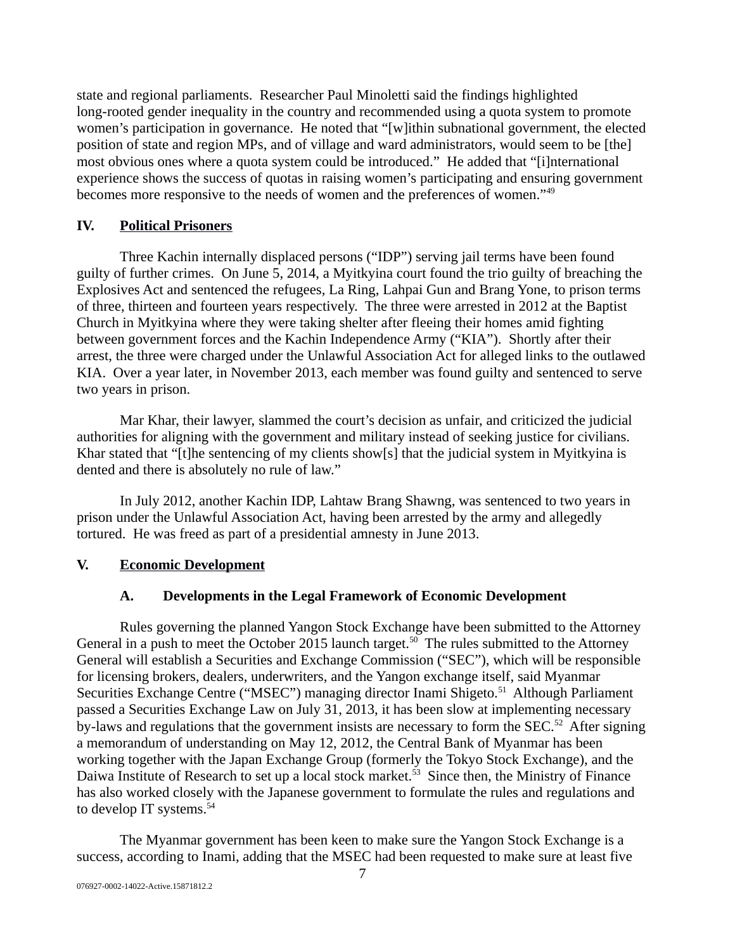state and regional parliaments. Researcher Paul Minoletti said the findings highlighted long-rooted gender inequality in the country and recommended using a quota system to promote women's participation in governance. He noted that "[w]ithin subnational government, the elected position of state and region MPs, and of village and ward administrators, would seem to be [the] most obvious ones where a quota system could be introduced." He added that "[i]nternational experience shows the success of quotas in raising women's participating and ensuring government becomes more responsive to the needs of women and the preferences of women."<sup>49</sup>

## <span id="page-6-2"></span>**IV. Political Prisoners**

Three Kachin internally displaced persons ("IDP") serving jail terms have been found guilty of further crimes. On June 5, 2014, a Myitkyina court found the trio guilty of breaching the Explosives Act and sentenced the refugees, La Ring, Lahpai Gun and Brang Yone, to prison terms of three, thirteen and fourteen years respectively. The three were arrested in 2012 at the Baptist Church in Myitkyina where they were taking shelter after fleeing their homes amid fighting between government forces and the Kachin Independence Army ("KIA"). Shortly after their arrest, the three were charged under the Unlawful Association Act for alleged links to the outlawed KIA. Over a year later, in November 2013, each member was found guilty and sentenced to serve two years in prison.

Mar Khar, their lawyer, slammed the court's decision as unfair, and criticized the judicial authorities for aligning with the government and military instead of seeking justice for civilians. Khar stated that "[t]he sentencing of my clients show[s] that the judicial system in Myitkyina is dented and there is absolutely no rule of law."

In July 2012, another Kachin IDP, Lahtaw Brang Shawng, was sentenced to two years in prison under the Unlawful Association Act, having been arrested by the army and allegedly tortured. He was freed as part of a presidential amnesty in June 2013.

### **V. Economic Development**

### <span id="page-6-1"></span><span id="page-6-0"></span>**A. Developments in the Legal Framework of Economic Development**

Rules governing the planned Yangon Stock Exchange have been submitted to the Attorney General in a push to meet the October 2015 launch target.<sup>50</sup> The rules submitted to the Attorney General will establish a Securities and Exchange Commission ("SEC"), which will be responsible for licensing brokers, dealers, underwriters, and the Yangon exchange itself, said Myanmar Securities Exchange Centre ("MSEC") managing director Inami Shigeto.<sup>51</sup> Although Parliament passed a Securities Exchange Law on July 31, 2013, it has been slow at implementing necessary by-laws and regulations that the government insists are necessary to form the SEC.<sup>52</sup> After signing a memorandum of understanding on May 12, 2012, the Central Bank of Myanmar has been working together with the Japan Exchange Group (formerly the Tokyo Stock Exchange), and the Daiwa Institute of Research to set up a local stock market.<sup>53</sup> Since then, the Ministry of Finance has also worked closely with the Japanese government to formulate the rules and regulations and to develop IT systems.<sup>54</sup>

The Myanmar government has been keen to make sure the Yangon Stock Exchange is a success, according to Inami, adding that the MSEC had been requested to make sure at least five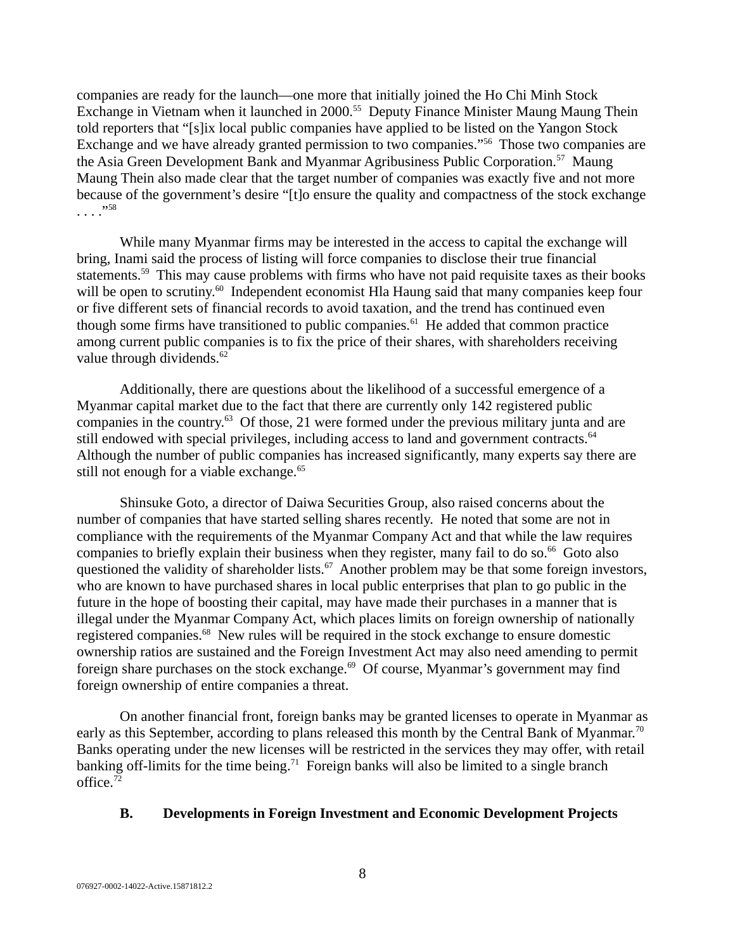companies are ready for the launch—one more that initially joined the Ho Chi Minh Stock Exchange in Vietnam when it launched in 2000.<sup>55</sup> Deputy Finance Minister Maung Maung Thein told reporters that "[s]ix local public companies have applied to be listed on the Yangon Stock Exchange and we have already granted permission to two companies."<sup>56</sup> Those two companies are the Asia Green Development Bank and Myanmar Agribusiness Public Corporation.<sup>57</sup> Maung Maung Thein also made clear that the target number of companies was exactly five and not more because of the government's desire "[t]o ensure the quality and compactness of the stock exchange . . . ."<sup>58</sup>

While many Myanmar firms may be interested in the access to capital the exchange will bring, Inami said the process of listing will force companies to disclose their true financial statements.<sup>59</sup> This may cause problems with firms who have not paid requisite taxes as their books will be open to scrutiny.<sup>60</sup> Independent economist Hla Haung said that many companies keep four or five different sets of financial records to avoid taxation, and the trend has continued even though some firms have transitioned to public companies. $61$  He added that common practice among current public companies is to fix the price of their shares, with shareholders receiving value through dividends.<sup>62</sup>

Additionally, there are questions about the likelihood of a successful emergence of a Myanmar capital market due to the fact that there are currently only 142 registered public companies in the country.<sup>63</sup> Of those, 21 were formed under the previous military junta and are still endowed with special privileges, including access to land and government contracts.<sup>64</sup> Although the number of public companies has increased significantly, many experts say there are still not enough for a viable exchange. $65$ 

Shinsuke Goto, a director of Daiwa Securities Group, also raised concerns about the number of companies that have started selling shares recently. He noted that some are not in compliance with the requirements of the Myanmar Company Act and that while the law requires companies to briefly explain their business when they register, many fail to do so.<sup>66</sup> Goto also questioned the validity of shareholder lists.<sup>67</sup> Another problem may be that some foreign investors, who are known to have purchased shares in local public enterprises that plan to go public in the future in the hope of boosting their capital, may have made their purchases in a manner that is illegal under the Myanmar Company Act, which places limits on foreign ownership of nationally registered companies.<sup>68</sup> New rules will be required in the stock exchange to ensure domestic ownership ratios are sustained and the Foreign Investment Act may also need amending to permit foreign share purchases on the stock exchange. $69$  Of course, Myanmar's government may find foreign ownership of entire companies a threat.

On another financial front, foreign banks may be granted licenses to operate in Myanmar as early as this September, according to plans released this month by the Central Bank of Myanmar.<sup>70</sup> Banks operating under the new licenses will be restricted in the services they may offer, with retail banking off-limits for the time being.<sup>71</sup> Foreign banks will also be limited to a single branch office.<sup>72</sup>

#### <span id="page-7-0"></span>**B. Developments in Foreign Investment and Economic Development Projects**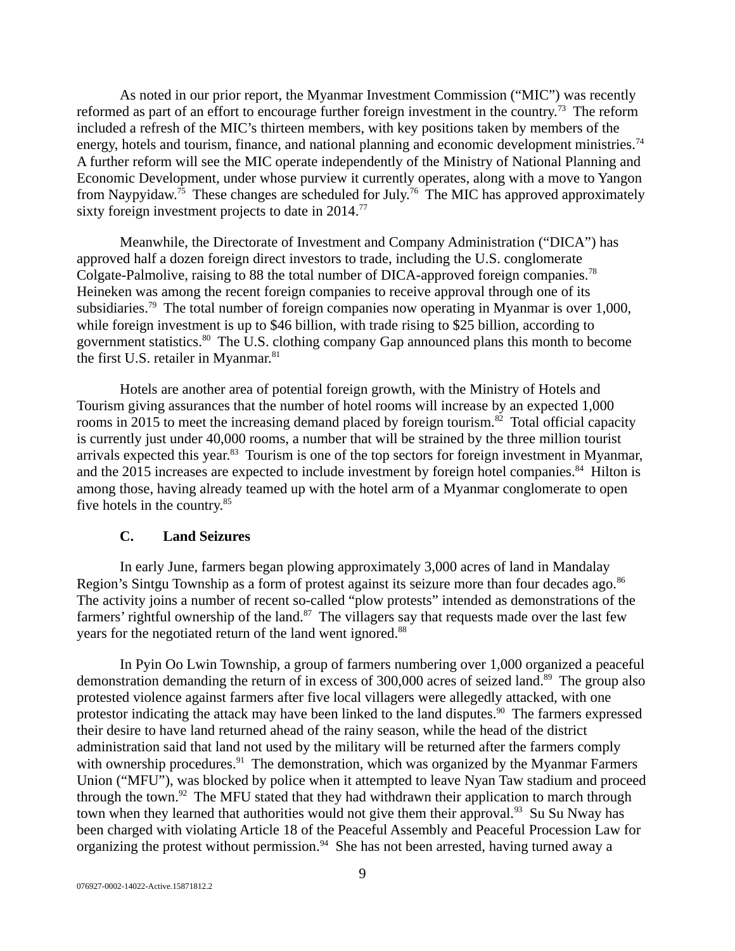As noted in our prior report, the Myanmar Investment Commission ("MIC") was recently reformed as part of an effort to encourage further foreign investment in the country.<sup>73</sup> The reform included a refresh of the MIC's thirteen members, with key positions taken by members of the energy, hotels and tourism, finance, and national planning and economic development ministries.<sup>74</sup> A further reform will see the MIC operate independently of the Ministry of National Planning and Economic Development, under whose purview it currently operates, along with a move to Yangon from Naypyidaw.<sup>75</sup> These changes are scheduled for July.<sup>76</sup> The MIC has approved approximately sixty foreign investment projects to date in 2014.<sup>77</sup>

Meanwhile, the Directorate of Investment and Company Administration ("DICA") has approved half a dozen foreign direct investors to trade, including the U.S. conglomerate Colgate-Palmolive, raising to 88 the total number of DICA-approved foreign companies.<sup>78</sup> Heineken was among the recent foreign companies to receive approval through one of its subsidiaries.<sup>79</sup> The total number of foreign companies now operating in Myanmar is over 1,000, while foreign investment is up to \$46 billion, with trade rising to \$25 billion, according to government statistics.<sup>80</sup> The U.S. clothing company Gap announced plans this month to become the first U.S. retailer in Myanmar.<sup>81</sup>

Hotels are another area of potential foreign growth, with the Ministry of Hotels and Tourism giving assurances that the number of hotel rooms will increase by an expected 1,000 rooms in 2015 to meet the increasing demand placed by foreign tourism. $82$  Total official capacity is currently just under 40,000 rooms, a number that will be strained by the three million tourist arrivals expected this year.<sup>83</sup> Tourism is one of the top sectors for foreign investment in Myanmar, and the 2015 increases are expected to include investment by foreign hotel companies. $^{84}$  Hilton is among those, having already teamed up with the hotel arm of a Myanmar conglomerate to open five hotels in the country.<sup>85</sup>

#### <span id="page-8-0"></span>**C. Land Seizures**

In early June, farmers began plowing approximately 3,000 acres of land in Mandalay Region's Sintgu Township as a form of protest against its seizure more than four decades ago. $86$ The activity joins a number of recent so-called "plow protests" intended as demonstrations of the farmers' rightful ownership of the land. $87$  The villagers say that requests made over the last few years for the negotiated return of the land went ignored.<sup>88</sup>

In Pyin Oo Lwin Township, a group of farmers numbering over 1,000 organized a peaceful demonstration demanding the return of in excess of 300,000 acres of seized land.<sup>89</sup> The group also protested violence against farmers after five local villagers were allegedly attacked, with one protestor indicating the attack may have been linked to the land disputes.<sup>90</sup> The farmers expressed their desire to have land returned ahead of the rainy season, while the head of the district administration said that land not used by the military will be returned after the farmers comply with ownership procedures.<sup>91</sup> The demonstration, which was organized by the Myanmar Farmers Union ("MFU"), was blocked by police when it attempted to leave Nyan Taw stadium and proceed through the town. $92$  The MFU stated that they had withdrawn their application to march through town when they learned that authorities would not give them their approval.<sup>93</sup> Su Su Nway has been charged with violating Article 18 of the Peaceful Assembly and Peaceful Procession Law for organizing the protest without permission. $94$  She has not been arrested, having turned away a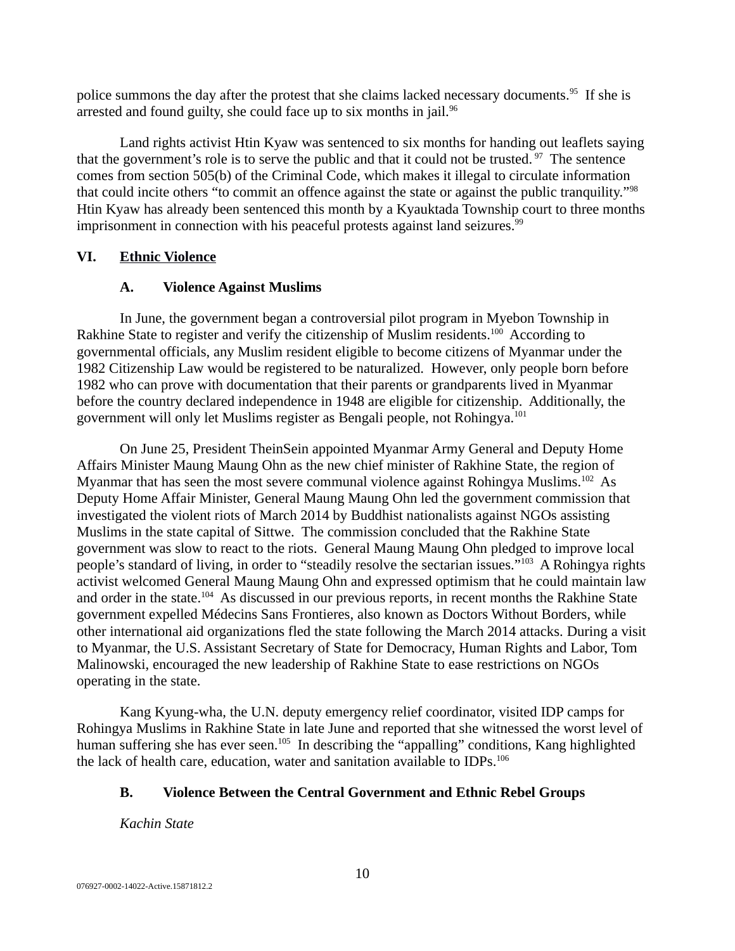police summons the day after the protest that she claims lacked necessary documents.<sup>95</sup> If she is arrested and found guilty, she could face up to six months in jail. $96$ 

Land rights activist Htin Kyaw was sentenced to six months for handing out leaflets saying that the government's role is to serve the public and that it could not be trusted.  $97$  The sentence comes from section 505(b) of the Criminal Code, which makes it illegal to circulate information that could incite others "to commit an offence against the state or against the public tranquility."<sup>98</sup> Htin Kyaw has already been sentenced this month by a Kyauktada Township court to three months imprisonment in connection with his peaceful protests against land seizures.<sup>99</sup>

### **VI. Ethnic Violence**

### <span id="page-9-2"></span><span id="page-9-1"></span>**A. Violence Against Muslims**

In June, the government began a controversial pilot program in Myebon Township in Rakhine State to register and verify the citizenship of Muslim residents.<sup>100</sup> According to governmental officials, any Muslim resident eligible to become citizens of Myanmar under the 1982 Citizenship Law would be registered to be naturalized. However, only people born before 1982 who can prove with documentation that their parents or grandparents lived in Myanmar before the country declared independence in 1948 are eligible for citizenship. Additionally, the government will only let Muslims register as Bengali people, not Rohingya.<sup>101</sup>

On June 25, President TheinSein appointed Myanmar Army General and Deputy Home Affairs Minister Maung Maung Ohn as the new chief minister of Rakhine State, the region of Myanmar that has seen the most severe communal violence against Rohingya Muslims.<sup>102</sup> As Deputy Home Affair Minister, General Maung Maung Ohn led the government commission that investigated the violent riots of March 2014 by Buddhist nationalists against NGOs assisting Muslims in the state capital of Sittwe. The commission concluded that the Rakhine State government was slow to react to the riots. General Maung Maung Ohn pledged to improve local people's standard of living, in order to "steadily resolve the sectarian issues."<sup>103</sup> A Rohingya rights activist welcomed General Maung Maung Ohn and expressed optimism that he could maintain law and order in the state.<sup>104</sup> As discussed in our previous reports, in recent months the Rakhine State government expelled Médecins Sans Frontieres, also known as Doctors Without Borders, while other international aid organizations fled the state following the March 2014 attacks. During a visit to Myanmar, the U.S. Assistant Secretary of State for Democracy, Human Rights and Labor, Tom Malinowski, encouraged the new leadership of Rakhine State to ease restrictions on NGOs operating in the state.

Kang Kyung-wha, the U.N. deputy emergency relief coordinator, visited IDP camps for Rohingya Muslims in Rakhine State in late June and reported that she witnessed the worst level of human suffering she has ever seen.<sup>105</sup> In describing the "appalling" conditions, Kang highlighted the lack of health care, education, water and sanitation available to IDPs.<sup>106</sup>

## <span id="page-9-0"></span>**B. Violence Between the Central Government and Ethnic Rebel Groups**

*Kachin State*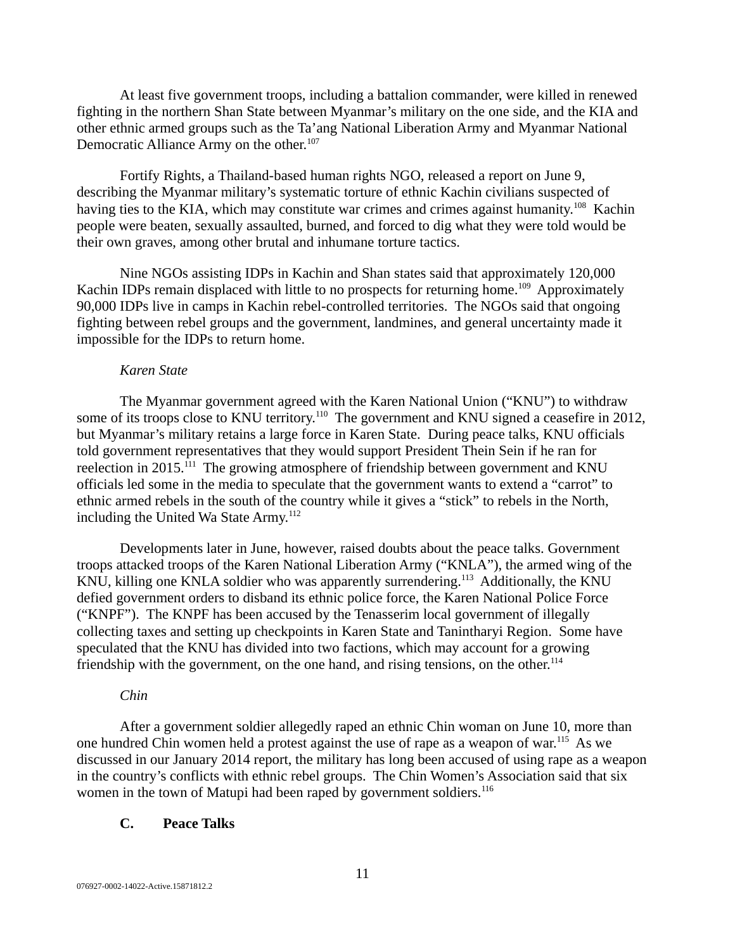At least five government troops, including a battalion commander, were killed in renewed fighting in the northern Shan State between Myanmar's military on the one side, and the KIA and other ethnic armed groups such as the Ta'ang National Liberation Army and Myanmar National Democratic Alliance Army on the other.<sup>107</sup>

Fortify Rights, a Thailand-based human rights NGO, released a report on June 9, describing the Myanmar military's systematic torture of ethnic Kachin civilians suspected of having ties to the KIA, which may constitute war crimes and crimes against humanity.<sup>108</sup> Kachin people were beaten, sexually assaulted, burned, and forced to dig what they were told would be their own graves, among other brutal and inhumane torture tactics.

Nine NGOs assisting IDPs in Kachin and Shan states said that approximately 120,000 Kachin IDPs remain displaced with little to no prospects for returning home.<sup>109</sup> Approximately 90,000 IDPs live in camps in Kachin rebel-controlled territories. The NGOs said that ongoing fighting between rebel groups and the government, landmines, and general uncertainty made it impossible for the IDPs to return home.

#### *Karen State*

The Myanmar government agreed with the Karen National Union ("KNU") to withdraw some of its troops close to KNU territory.<sup>110</sup> The government and KNU signed a ceasefire in 2012, but Myanmar's military retains a large force in Karen State. During peace talks, KNU officials told government representatives that they would support President Thein Sein if he ran for reelection in 2015.<sup>111</sup> The growing atmosphere of friendship between government and KNU officials led some in the media to speculate that the government wants to extend a "carrot" to ethnic armed rebels in the south of the country while it gives a "stick" to rebels in the North, including the United Wa State Army.<sup>112</sup>

Developments later in June, however, raised doubts about the peace talks. Government troops attacked troops of the Karen National Liberation Army ("KNLA"), the armed wing of the KNU, killing one KNLA soldier who was apparently surrendering.<sup>113</sup> Additionally, the KNU defied government orders to disband its ethnic police force, the Karen National Police Force ("KNPF"). The KNPF has been accused by the Tenasserim local government of illegally collecting taxes and setting up checkpoints in Karen State and Tanintharyi Region. Some have speculated that the KNU has divided into two factions, which may account for a growing friendship with the government, on the one hand, and rising tensions, on the other. $114$ 

### *Chin*

After a government soldier allegedly raped an ethnic Chin woman on June 10, more than one hundred Chin women held a protest against the use of rape as a weapon of war.<sup>115</sup> As we discussed in our January 2014 report, the military has long been accused of using rape as a weapon in the country's conflicts with ethnic rebel groups. The Chin Women's Association said that six women in the town of Matupi had been raped by government soldiers.<sup>116</sup>

#### <span id="page-10-0"></span>**C. Peace Talks**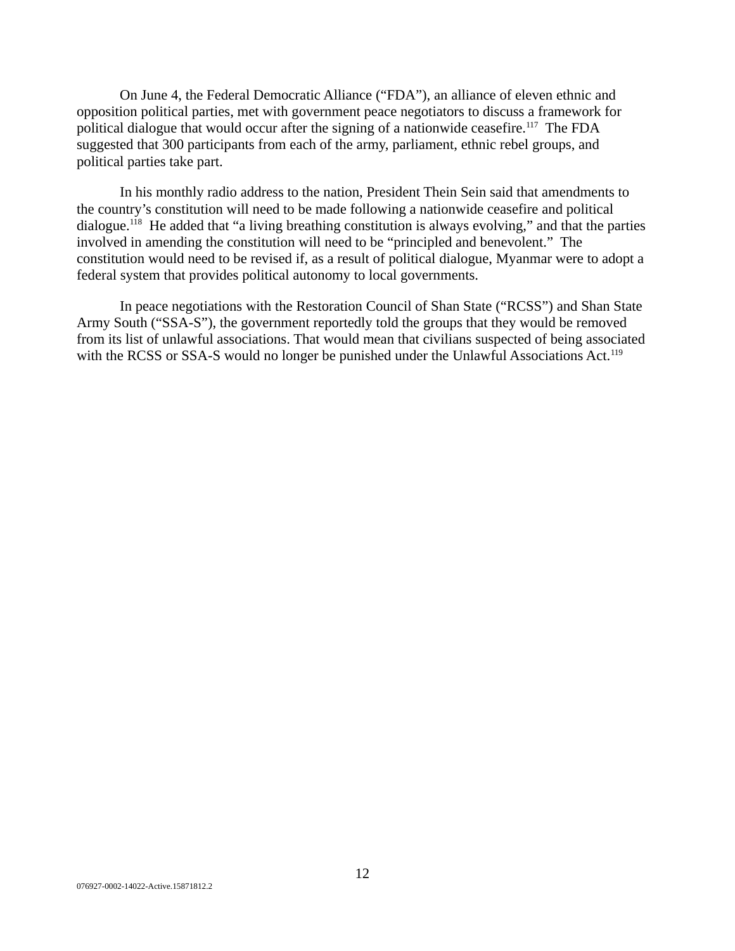On June 4, the Federal Democratic Alliance ("FDA"), an alliance of eleven ethnic and opposition political parties, met with government peace negotiators to discuss a framework for political dialogue that would occur after the signing of a nationwide ceasefire.<sup>117</sup> The FDA suggested that 300 participants from each of the army, parliament, ethnic rebel groups, and political parties take part.

In his monthly radio address to the nation, President Thein Sein said that amendments to the country's constitution will need to be made following a nationwide ceasefire and political dialogue.<sup>118</sup> He added that "a living breathing constitution is always evolving," and that the parties involved in amending the constitution will need to be "principled and benevolent." The constitution would need to be revised if, as a result of political dialogue, Myanmar were to adopt a federal system that provides political autonomy to local governments.

In peace negotiations with the Restoration Council of Shan State ("RCSS") and Shan State Army South ("SSA-S"), the government reportedly told the groups that they would be removed from its list of unlawful associations. That would mean that civilians suspected of being associated with the RCSS or SSA-S would no longer be punished under the Unlawful Associations Act.<sup>119</sup>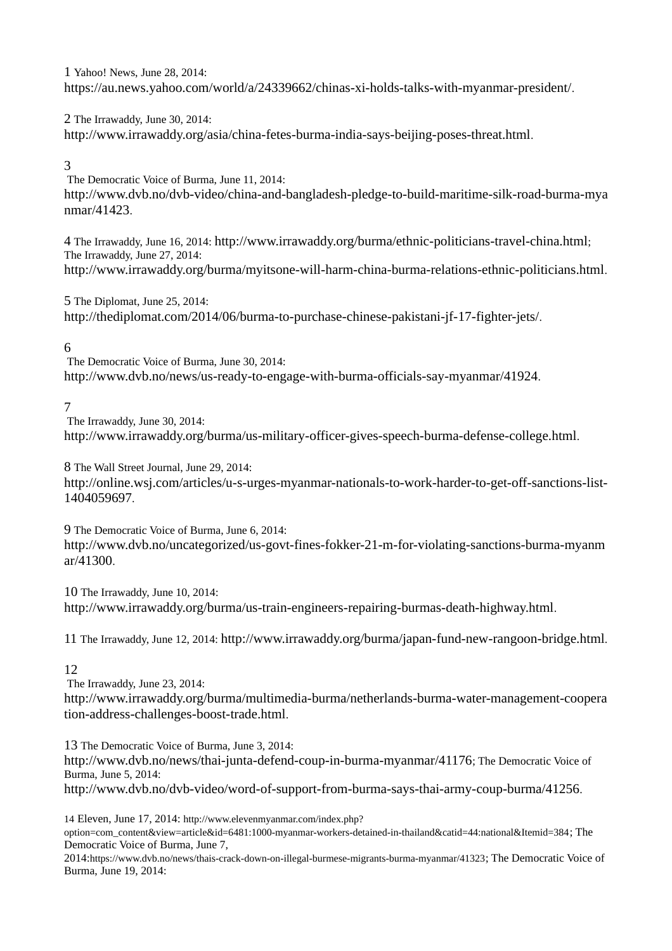1 Yahoo! News, June 28, 2014: https://au.news.yahoo.com/world/a/24339662/chinas-xi-holds-talks-with-myanmar-president/.

2 The Irrawaddy, June 30, 2014: http://www.irrawaddy.org/asia/china-fetes-burma-india-says-beijing-poses-threat.html.

### 3

The Democratic Voice of Burma, June 11, 2014:

http://www.dvb.no/dvb-video/china-and-bangladesh-pledge-to-build-maritime-silk-road-burma-mya nmar/41423.

4 The Irrawaddy, June 16, 2014: http://www.irrawaddy.org/burma/ethnic-politicians-travel-china.html; The Irrawaddy, June 27, 2014: http://www.irrawaddy.org/burma/myitsone-will-harm-china-burma-relations-ethnic-politicians.html.

5 The Diplomat, June 25, 2014: http://thediplomat.com/2014/06/burma-to-purchase-chinese-pakistani-jf-17-fighter-jets/.

### 6

The Democratic Voice of Burma, June 30, 2014: http://www.dvb.no/news/us-ready-to-engage-with-burma-officials-say-myanmar/41924.

### 7

The Irrawaddy, June 30, 2014: http://www.irrawaddy.org/burma/us-military-officer-gives-speech-burma-defense-college.html.

8 The Wall Street Journal, June 29, 2014:

http://online.wsj.com/articles/u-s-urges-myanmar-nationals-to-work-harder-to-get-off-sanctions-list-1404059697.

9 The Democratic Voice of Burma, June 6, 2014: http://www.dvb.no/uncategorized/us-govt-fines-fokker-21-m-for-violating-sanctions-burma-myanm ar/41300.

10 The Irrawaddy, June 10, 2014: http://www.irrawaddy.org/burma/us-train-engineers-repairing-burmas-death-highway.html.

11 The Irrawaddy, June 12, 2014: http://www.irrawaddy.org/burma/japan-fund-new-rangoon-bridge.html.

### 12

The Irrawaddy, June 23, 2014: http://www.irrawaddy.org/burma/multimedia-burma/netherlands-burma-water-management-coopera tion-address-challenges-boost-trade.html.

13 The Democratic Voice of Burma, June 3, 2014: http://www.dvb.no/news/thai-junta-defend-coup-in-burma-myanmar/41176; The Democratic Voice of Burma, June 5, 2014: http://www.dvb.no/dvb-video/word-of-support-from-burma-says-thai-army-coup-burma/41256.

14 Eleven, June 17, 2014: http://www.elevenmyanmar.com/index.php? option=com\_content&view=article&id=6481:1000-myanmar-workers-detained-in-thailand&catid=44:national&Itemid=384; The Democratic Voice of Burma, June 7,

2014:https://www.dvb.no/news/thais-crack-down-on-illegal-burmese-migrants-burma-myanmar/41323; The Democratic Voice of Burma, June 19, 2014: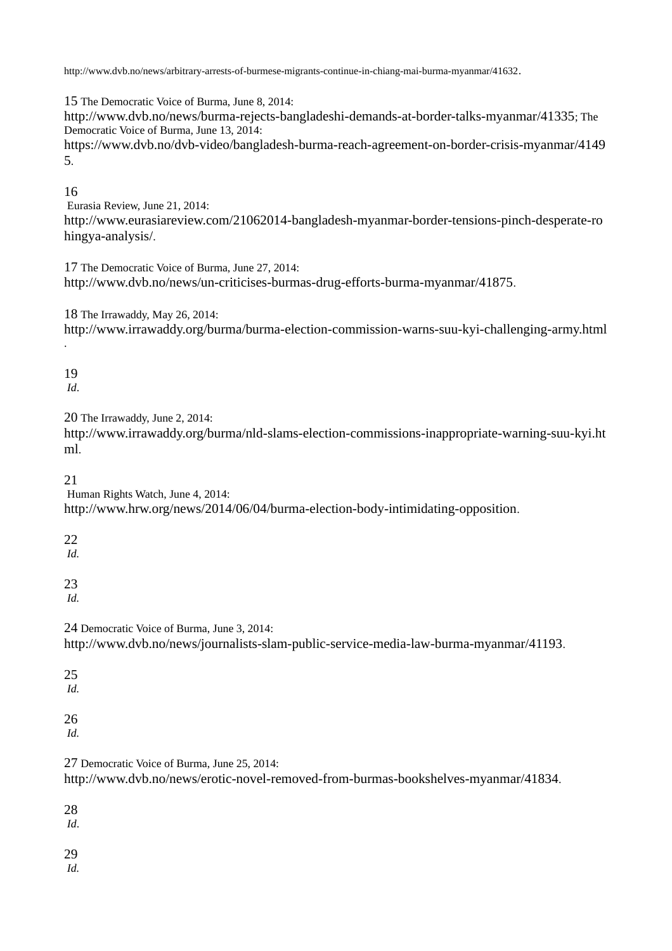http://www.dvb.no/news/arbitrary-arrests-of-burmese-migrants-continue-in-chiang-mai-burma-myanmar/41632.

15 The Democratic Voice of Burma, June 8, 2014:

http://www.dvb.no/news/burma-rejects-bangladeshi-demands-at-border-talks-myanmar/41335; The Democratic Voice of Burma, June 13, 2014:

https://www.dvb.no/dvb-video/bangladesh-burma-reach-agreement-on-border-crisis-myanmar/4149 5.

### 16

Eurasia Review, June 21, 2014: http://www.eurasiareview.com/21062014-bangladesh-myanmar-border-tensions-pinch-desperate-ro hingya-analysis/.

17 The Democratic Voice of Burma, June 27, 2014: http://www.dvb.no/news/un-criticises-burmas-drug-efforts-burma-myanmar/41875.

18 The Irrawaddy, May 26, 2014:

http://www.irrawaddy.org/burma/burma-election-commission-warns-suu-kyi-challenging-army.html

19

.

*Id*.

20 The Irrawaddy, June 2, 2014:

http://www.irrawaddy.org/burma/nld-slams-election-commissions-inappropriate-warning-suu-kyi.ht ml.

21

Human Rights Watch, June 4, 2014:

http://www.hrw.org/news/2014/06/04/burma-election-body-intimidating-opposition.

22

*Id.*

23 *Id.*

24 Democratic Voice of Burma, June 3, 2014:

http://www.dvb.no/news/journalists-slam-public-service-media-law-burma-myanmar/41193.

25 *Id.*

26

*Id.*

27 Democratic Voice of Burma, June 25, 2014:

http://www.dvb.no/news/erotic-novel-removed-from-burmas-bookshelves-myanmar/41834.

28

*Id*.

29

*Id.*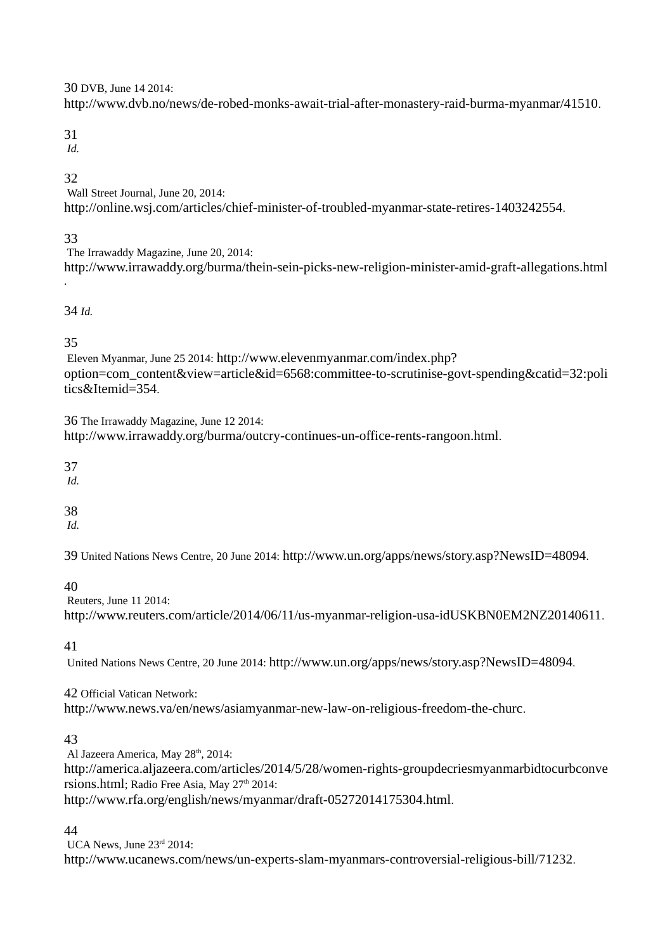30 DVB, June 14 2014:

http://www.dvb.no/news/de-robed-monks-await-trial-after-monastery-raid-burma-myanmar/41510.

31

*Id.*

# 32

Wall Street Journal, June 20, 2014: http://online.wsj.com/articles/chief-minister-of-troubled-myanmar-state-retires-1403242554.

# 33

The Irrawaddy Magazine, June 20, 2014: http://www.irrawaddy.org/burma/thein-sein-picks-new-religion-minister-amid-graft-allegations.html .

## 34 *Id.*

# 35

Eleven Myanmar, June 25 2014: http://www.elevenmyanmar.com/index.php? option=com\_content&view=article&id=6568:committee-to-scrutinise-govt-spending&catid=32:poli tics&Itemid=354.

36 The Irrawaddy Magazine, June 12 2014: http://www.irrawaddy.org/burma/outcry-continues-un-office-rents-rangoon.html.

37

*Id.*

38

*Id.*

39 United Nations News Centre, 20 June 2014: http://www.un.org/apps/news/story.asp?NewsID=48094.

# 40

Reuters, June 11 2014: http://www.reuters.com/article/2014/06/11/us-myanmar-religion-usa-idUSKBN0EM2NZ20140611.

41

United Nations News Centre, 20 June 2014: http://www.un.org/apps/news/story.asp?NewsID=48094.

42 Official Vatican Network:

http://www.news.va/en/news/asiamyanmar-new-law-on-religious-freedom-the-churc.

# 43

Al Jazeera America, May 28<sup>th</sup>, 2014: http://america.aljazeera.com/articles/2014/5/28/women-rights-groupdecriesmyanmarbidtocurbconve rsions.html; Radio Free Asia, May 27<sup>th</sup> 2014: http://www.rfa.org/english/news/myanmar/draft-05272014175304.html.

# 44

UCA News, June 23rd 2014: http://www.ucanews.com/news/un-experts-slam-myanmars-controversial-religious-bill/71232.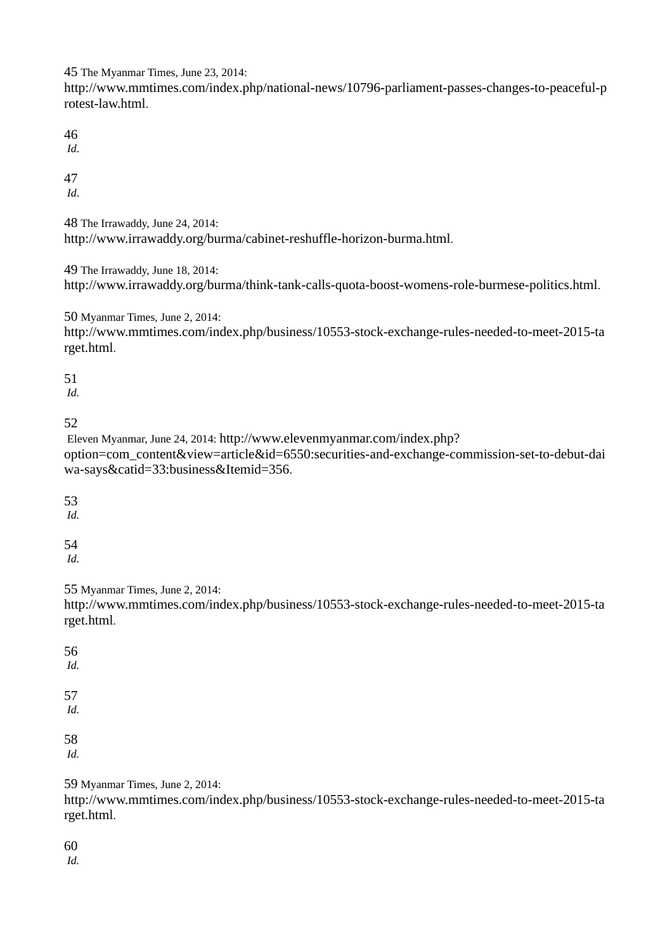45 The Myanmar Times, June 23, 2014:

http://www.mmtimes.com/index.php/national-news/10796-parliament-passes-changes-to-peaceful-p rotest-law.html.

46

*Id*.

47

*Id*.

48 The Irrawaddy, June 24, 2014: http://www.irrawaddy.org/burma/cabinet-reshuffle-horizon-burma.html.

49 The Irrawaddy, June 18, 2014:

http://www.irrawaddy.org/burma/think-tank-calls-quota-boost-womens-role-burmese-politics.html.

50 Myanmar Times, June 2, 2014:

http://www.mmtimes.com/index.php/business/10553-stock-exchange-rules-needed-to-meet-2015-ta rget.html.

51

*Id.* 

52

Eleven Myanmar, June 24, 2014: http://www.elevenmyanmar.com/index.php? option=com\_content&view=article&id=6550:securities-and-exchange-commission-set-to-debut-dai wa-says&catid=33:business&Itemid=356.

53

*Id.*

54

*Id.*

55 Myanmar Times, June 2, 2014:

http://www.mmtimes.com/index.php/business/10553-stock-exchange-rules-needed-to-meet-2015-ta rget.html.

56 *Id.* 57 *Id.* 58

*Id.*

59 Myanmar Times, June 2, 2014:

http://www.mmtimes.com/index.php/business/10553-stock-exchange-rules-needed-to-meet-2015-ta rget.html.

60

*Id.*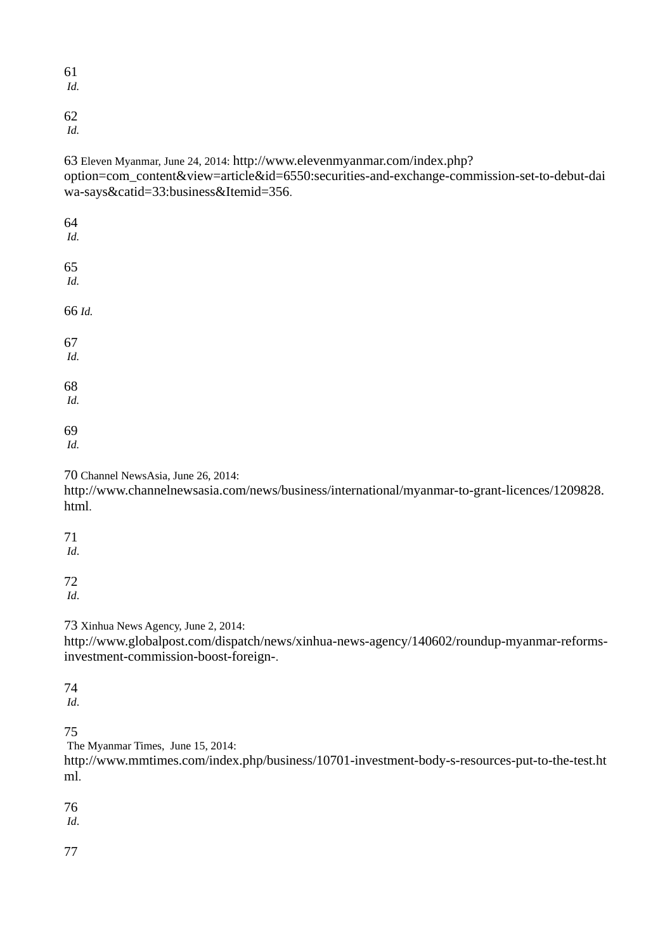61

*Id.*

62

*Id.* 

63 Eleven Myanmar, June 24, 2014: http://www.elevenmyanmar.com/index.php? option=com\_content&view=article&id=6550:securities-and-exchange-commission-set-to-debut-dai wa-says&catid=33:business&Itemid=356.

64 *Id.* 65 *Id.* 66 *Id.* 67 *Id.*  68 *Id.*  69 *Id.*  70 Channel NewsAsia, June 26, 2014: http://www.channelnewsasia.com/news/business/international/myanmar-to-grant-licences/1209828. html. 71 *Id*. 72

*Id*.

73 Xinhua News Agency, June 2, 2014:

http://www.globalpost.com/dispatch/news/xinhua-news-agency/140602/roundup-myanmar-reformsinvestment-commission-boost-foreign-.

74

*Id*.

75

The Myanmar Times, June 15, 2014:

http://www.mmtimes.com/index.php/business/10701-investment-body-s-resources-put-to-the-test.ht ml.

76

*Id*.

77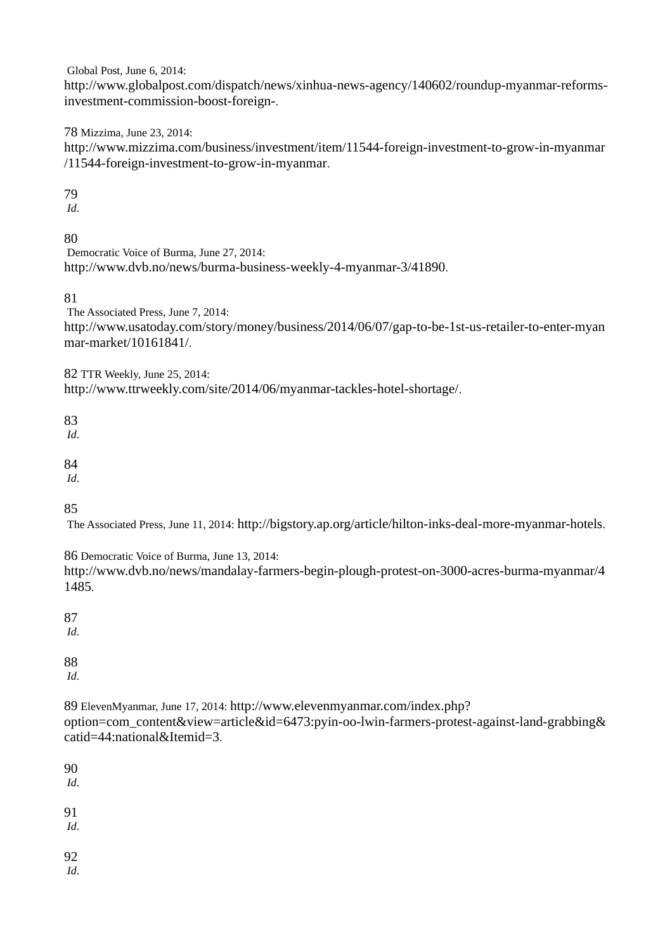Global Post, June 6, 2014:

http://www.globalpost.com/dispatch/news/xinhua-news-agency/140602/roundup-myanmar-reformsinvestment-commission-boost-foreign-.

78 Mizzima, June 23, 2014:

http://www.mizzima.com/business/investment/item/11544-foreign-investment-to-grow-in-myanmar /11544-foreign-investment-to-grow-in-myanmar.

79

*Id*.

80

Democratic Voice of Burma, June 27, 2014: http://www.dvb.no/news/burma-business-weekly-4-myanmar-3/41890.

81

The Associated Press, June 7, 2014:

http://www.usatoday.com/story/money/business/2014/06/07/gap-to-be-1st-us-retailer-to-enter-myan mar-market/10161841/.

82 TTR Weekly, June 25, 2014:

http://www.ttrweekly.com/site/2014/06/myanmar-tackles-hotel-shortage/.

83

*Id*.

84

*Id*.

85

The Associated Press, June 11, 2014: http://bigstory.ap.org/article/hilton-inks-deal-more-myanmar-hotels.

86 Democratic Voice of Burma, June 13, 2014: http://www.dvb.no/news/mandalay-farmers-begin-plough-protest-on-3000-acres-burma-myanmar/4 1485.

87

*Id*.

88

*Id*.

89 ElevenMyanmar, June 17, 2014: http://www.elevenmyanmar.com/index.php?

option=com\_content&view=article&id=6473:pyin-oo-lwin-farmers-protest-against-land-grabbing& catid=44:national&Itemid=3.

90

*Id*.

91

*Id*.

92

*Id*.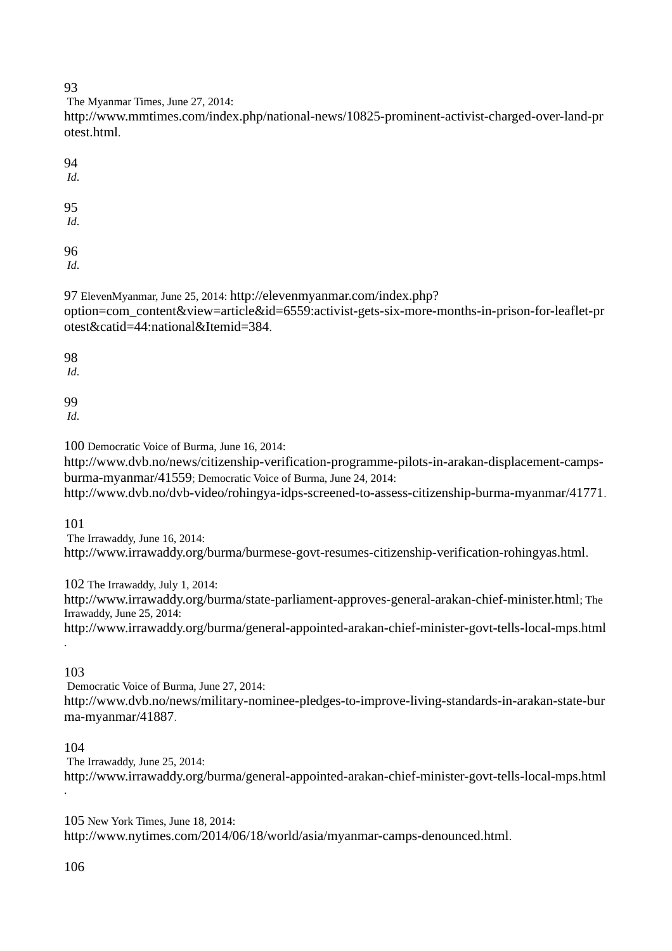### 93

The Myanmar Times, June 27, 2014:

http://www.mmtimes.com/index.php/national-news/10825-prominent-activist-charged-over-land-pr otest.html.

94 *Id*. 95

*Id*.

96

*Id*.

97 ElevenMyanmar, June 25, 2014: http://elevenmyanmar.com/index.php?

option=com\_content&view=article&id=6559:activist-gets-six-more-months-in-prison-for-leaflet-pr otest&catid=44:national&Itemid=384.

98

*Id*.

99

*Id*.

100 Democratic Voice of Burma, June 16, 2014:

http://www.dvb.no/news/citizenship-verification-programme-pilots-in-arakan-displacement-campsburma-myanmar/41559; Democratic Voice of Burma, June 24, 2014:

http://www.dvb.no/dvb-video/rohingya-idps-screened-to-assess-citizenship-burma-myanmar/41771.

101

The Irrawaddy, June 16, 2014: http://www.irrawaddy.org/burma/burmese-govt-resumes-citizenship-verification-rohingyas.html.

102 The Irrawaddy, July 1, 2014:

http://www.irrawaddy.org/burma/state-parliament-approves-general-arakan-chief-minister.html; The Irrawaddy, June 25, 2014:

http://www.irrawaddy.org/burma/general-appointed-arakan-chief-minister-govt-tells-local-mps.html .

# 103

Democratic Voice of Burma, June 27, 2014: http://www.dvb.no/news/military-nominee-pledges-to-improve-living-standards-in-arakan-state-bur ma-myanmar/41887.

# 104

The Irrawaddy, June 25, 2014: http://www.irrawaddy.org/burma/general-appointed-arakan-chief-minister-govt-tells-local-mps.html .

105 New York Times, June 18, 2014: http://www.nytimes.com/2014/06/18/world/asia/myanmar-camps-denounced.html.